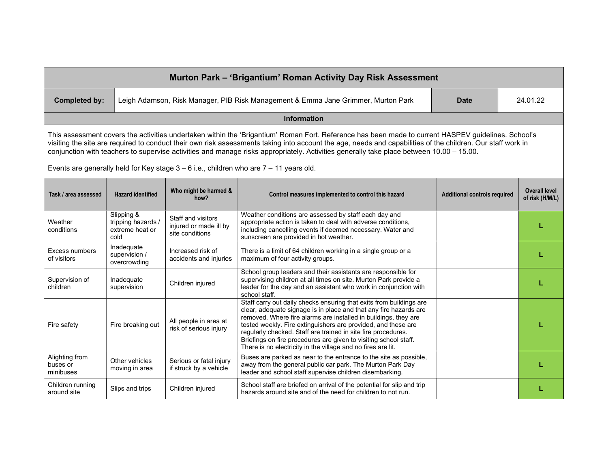| Murton Park - 'Brigantium' Roman Activity Day Risk Assessment                                                                                                                                                                                                                                                                                                                                                                                                  |                                                             |                                                                 |                                                                                                                                                                                                                                                                                                                                                                                                                                                                                   |                                     |                                         |  |  |  |  |
|----------------------------------------------------------------------------------------------------------------------------------------------------------------------------------------------------------------------------------------------------------------------------------------------------------------------------------------------------------------------------------------------------------------------------------------------------------------|-------------------------------------------------------------|-----------------------------------------------------------------|-----------------------------------------------------------------------------------------------------------------------------------------------------------------------------------------------------------------------------------------------------------------------------------------------------------------------------------------------------------------------------------------------------------------------------------------------------------------------------------|-------------------------------------|-----------------------------------------|--|--|--|--|
| <b>Completed by:</b>                                                                                                                                                                                                                                                                                                                                                                                                                                           |                                                             |                                                                 | Leigh Adamson, Risk Manager, PIB Risk Management & Emma Jane Grimmer, Murton Park                                                                                                                                                                                                                                                                                                                                                                                                 | <b>Date</b>                         | 24.01.22                                |  |  |  |  |
| Information                                                                                                                                                                                                                                                                                                                                                                                                                                                    |                                                             |                                                                 |                                                                                                                                                                                                                                                                                                                                                                                                                                                                                   |                                     |                                         |  |  |  |  |
| This assessment covers the activities undertaken within the 'Brigantium' Roman Fort. Reference has been made to current HASPEV guidelines. School's<br>visiting the site are required to conduct their own risk assessments taking into account the age, needs and capabilities of the children. Our staff work in<br>conjunction with teachers to supervise activities and manage risks appropriately. Activities generally take place between 10.00 - 15.00. |                                                             |                                                                 |                                                                                                                                                                                                                                                                                                                                                                                                                                                                                   |                                     |                                         |  |  |  |  |
| Events are generally held for Key stage $3 - 6$ i.e., children who are $7 - 11$ years old.                                                                                                                                                                                                                                                                                                                                                                     |                                                             |                                                                 |                                                                                                                                                                                                                                                                                                                                                                                                                                                                                   |                                     |                                         |  |  |  |  |
| Task / area assessed                                                                                                                                                                                                                                                                                                                                                                                                                                           | <b>Hazard identified</b>                                    | Who might be harmed &<br>how?                                   | Control measures implemented to control this hazard                                                                                                                                                                                                                                                                                                                                                                                                                               | <b>Additional controls required</b> | <b>Overall level</b><br>of risk (H/M/L) |  |  |  |  |
| Weather<br>conditions                                                                                                                                                                                                                                                                                                                                                                                                                                          | Slipping &<br>tripping hazards /<br>extreme heat or<br>cold | Staff and visitors<br>injured or made ill by<br>site conditions | Weather conditions are assessed by staff each day and<br>appropriate action is taken to deal with adverse conditions,<br>including cancelling events if deemed necessary. Water and<br>sunscreen are provided in hot weather.                                                                                                                                                                                                                                                     |                                     |                                         |  |  |  |  |
| Excess numbers<br>of visitors                                                                                                                                                                                                                                                                                                                                                                                                                                  | Inadequate<br>supervision /<br>overcrowding                 | Increased risk of<br>accidents and injuries                     | There is a limit of 64 children working in a single group or a<br>maximum of four activity groups.                                                                                                                                                                                                                                                                                                                                                                                |                                     |                                         |  |  |  |  |
| Supervision of<br>children                                                                                                                                                                                                                                                                                                                                                                                                                                     | Inadequate<br>supervision                                   | Children injured                                                | School group leaders and their assistants are responsible for<br>supervising children at all times on site. Murton Park provide a<br>leader for the day and an assistant who work in conjunction with<br>school staff.                                                                                                                                                                                                                                                            |                                     |                                         |  |  |  |  |
| Fire safety                                                                                                                                                                                                                                                                                                                                                                                                                                                    | Fire breaking out                                           | All people in area at<br>risk of serious injury                 | Staff carry out daily checks ensuring that exits from buildings are<br>clear, adequate signage is in place and that any fire hazards are<br>removed. Where fire alarms are installed in buildings, they are<br>tested weekly. Fire extinguishers are provided, and these are<br>regularly checked. Staff are trained in site fire procedures.<br>Briefings on fire procedures are given to visiting school staff.<br>There is no electricity in the village and no fires are lit. |                                     |                                         |  |  |  |  |
| Alighting from<br>buses or<br>minibuses                                                                                                                                                                                                                                                                                                                                                                                                                        | Other vehicles<br>moving in area                            | Serious or fatal injury<br>if struck by a vehicle               | Buses are parked as near to the entrance to the site as possible,<br>away from the general public car park. The Murton Park Day<br>leader and school staff supervise children disembarking.                                                                                                                                                                                                                                                                                       |                                     |                                         |  |  |  |  |
| Children running<br>around site                                                                                                                                                                                                                                                                                                                                                                                                                                | Slips and trips                                             | Children injured                                                | School staff are briefed on arrival of the potential for slip and trip<br>hazards around site and of the need for children to not run.                                                                                                                                                                                                                                                                                                                                            |                                     |                                         |  |  |  |  |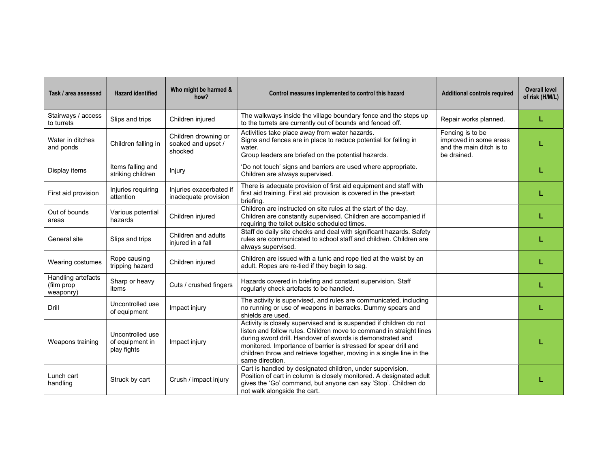| Task / area assessed                          | <b>Hazard identified</b>                           | Who might be harmed &<br>how?                         | Control measures implemented to control this hazard                                                                                                                                                                                                                                                                                                                    | <b>Additional controls required</b>                                                   | <b>Overall level</b><br>of risk (H/M/L) |
|-----------------------------------------------|----------------------------------------------------|-------------------------------------------------------|------------------------------------------------------------------------------------------------------------------------------------------------------------------------------------------------------------------------------------------------------------------------------------------------------------------------------------------------------------------------|---------------------------------------------------------------------------------------|-----------------------------------------|
| Stairways / access<br>to turrets              | Slips and trips                                    | Children injured                                      | The walkways inside the village boundary fence and the steps up<br>to the turrets are currently out of bounds and fenced off.                                                                                                                                                                                                                                          | Repair works planned.                                                                 | L                                       |
| Water in ditches<br>and ponds                 | Children falling in                                | Children drowning or<br>soaked and upset /<br>shocked | Activities take place away from water hazards.<br>Signs and fences are in place to reduce potential for falling in<br>water.<br>Group leaders are briefed on the potential hazards.                                                                                                                                                                                    | Fencing is to be<br>improved in some areas<br>and the main ditch is to<br>be drained. |                                         |
| Display items                                 | Items falling and<br>striking children             | Injury                                                | 'Do not touch' signs and barriers are used where appropriate.<br>Children are always supervised.                                                                                                                                                                                                                                                                       |                                                                                       |                                         |
| First aid provision                           | Injuries requiring<br>attention                    | Injuries exacerbated if<br>inadequate provision       | There is adequate provision of first aid equipment and staff with<br>first aid training. First aid provision is covered in the pre-start<br>briefing.                                                                                                                                                                                                                  |                                                                                       |                                         |
| Out of bounds<br>areas                        | Various potential<br>hazards                       | Children injured                                      | Children are instructed on site rules at the start of the day.<br>Children are constantly supervised. Children are accompanied if<br>requiring the toilet outside scheduled times.                                                                                                                                                                                     |                                                                                       |                                         |
| General site                                  | Slips and trips                                    | Children and adults<br>injured in a fall              | Staff do daily site checks and deal with significant hazards. Safety<br>rules are communicated to school staff and children. Children are<br>always supervised.                                                                                                                                                                                                        |                                                                                       |                                         |
| Wearing costumes                              | Rope causing<br>tripping hazard                    | Children injured                                      | Children are issued with a tunic and rope tied at the waist by an<br>adult. Ropes are re-tied if they begin to sag.                                                                                                                                                                                                                                                    |                                                                                       |                                         |
| Handling artefacts<br>(film prop<br>weaponry) | Sharp or heavy<br>items                            | Cuts / crushed fingers                                | Hazards covered in briefing and constant supervision. Staff<br>regularly check artefacts to be handled.                                                                                                                                                                                                                                                                |                                                                                       |                                         |
| Drill                                         | Uncontrolled use<br>of equipment                   | Impact injury                                         | The activity is supervised, and rules are communicated, including<br>no running or use of weapons in barracks. Dummy spears and<br>shields are used.                                                                                                                                                                                                                   |                                                                                       |                                         |
| Weapons training                              | Uncontrolled use<br>of equipment in<br>play fights | Impact injury                                         | Activity is closely supervised and is suspended if children do not<br>listen and follow rules. Children move to command in straight lines<br>during sword drill. Handover of swords is demonstrated and<br>monitored. Importance of barrier is stressed for spear drill and<br>children throw and retrieve together, moving in a single line in the<br>same direction. |                                                                                       |                                         |
| Lunch cart<br>handling                        | Struck by cart                                     | Crush / impact injury                                 | Cart is handled by designated children, under supervision.<br>Position of cart in column is closely monitored. A designated adult<br>gives the 'Go' command, but anyone can say 'Stop'. Children do<br>not walk alongside the cart.                                                                                                                                    |                                                                                       |                                         |